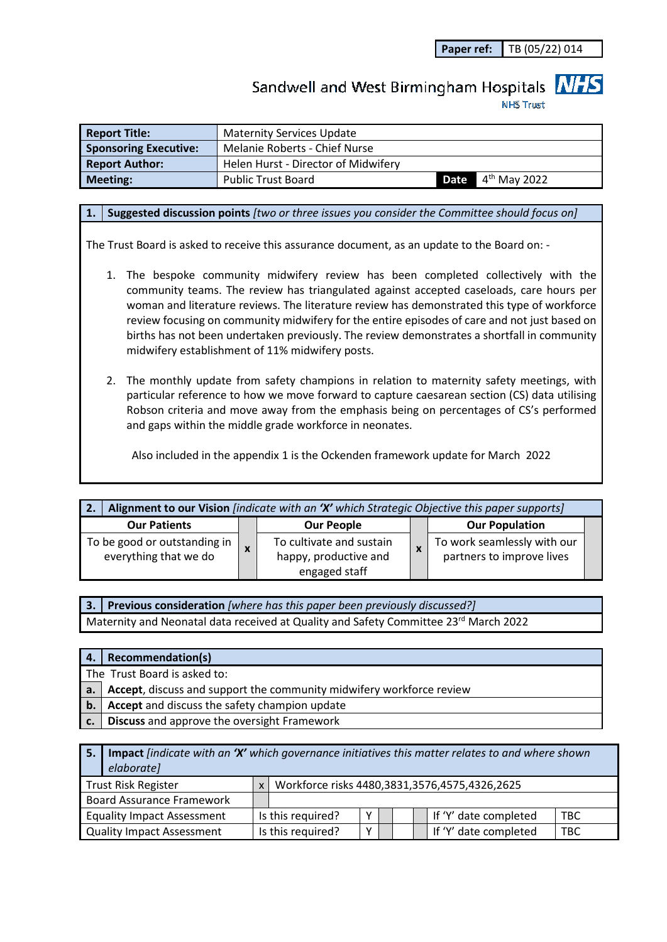**Paper ref:** TB (05/22) 014

# Sandwell and West Birmingham Hospitals **NHS**

**NHS Trust** 

| <b>Report Title:</b>         | <b>Maternity Services Update</b>    |  |                            |  |
|------------------------------|-------------------------------------|--|----------------------------|--|
| <b>Sponsoring Executive:</b> | Melanie Roberts - Chief Nurse       |  |                            |  |
| <b>Report Author:</b>        | Helen Hurst - Director of Midwifery |  |                            |  |
| Meeting:                     | <b>Public Trust Board</b>           |  | <b>Date</b> $4th$ May 2022 |  |

#### **1. Suggested discussion points** *[two or three issues you consider the Committee should focus on]*

The Trust Board is asked to receive this assurance document, as an update to the Board on: -

- 1. The bespoke community midwifery review has been completed collectively with the community teams. The review has triangulated against accepted caseloads, care hours per woman and literature reviews. The literature review has demonstrated this type of workforce review focusing on community midwifery for the entire episodes of care and not just based on births has not been undertaken previously. The review demonstrates a shortfall in community midwifery establishment of 11% midwifery posts.
- 2. The monthly update from safety champions in relation to maternity safety meetings, with particular reference to how we move forward to capture caesarean section (CS) data utilising Robson criteria and move away from the emphasis being on percentages of CS's performed and gaps within the middle grade workforce in neonates.

Also included in the appendix 1 is the Ockenden framework update for March 2022

| Alignment to our Vision <i>[indicate with an 'X' which Strategic Objective this paper supports]</i><br>2. |  |                                                                    |  |                                                          |  |
|-----------------------------------------------------------------------------------------------------------|--|--------------------------------------------------------------------|--|----------------------------------------------------------|--|
| <b>Our Patients</b>                                                                                       |  | <b>Our People</b>                                                  |  | <b>Our Population</b>                                    |  |
| To be good or outstanding in<br>everything that we do                                                     |  | To cultivate and sustain<br>happy, productive and<br>engaged staff |  | To work seamlessly with our<br>partners to improve lives |  |

**3. Previous consideration** *[where has this paper been previously discussed?]* Maternity and Neonatal data received at Quality and Safety Committee 23rd March 2022

| 4.1 | <b>Recommendation(s)</b>                                                |
|-----|-------------------------------------------------------------------------|
|     | The Trust Board is asked to:                                            |
|     | a. Accept, discuss and support the community midwifery workforce review |
|     | <b>b.</b> Accept and discuss the safety champion update                 |
| c.  | <b>Discuss</b> and approve the oversight Framework                      |

**5. Impact** *[indicate with an 'X' which governance initiatives this matter relates to and where shown elaborate]*

| <b>Trust Risk Register</b>        | Workforce risks 4480,3831,3576,4575,4326,2625 |              |  |  |                                     |
|-----------------------------------|-----------------------------------------------|--------------|--|--|-------------------------------------|
| <b>Board Assurance Framework</b>  |                                               |              |  |  |                                     |
| <b>Equality Impact Assessment</b> | Is this required?                             | $\checkmark$ |  |  | If 'Y' date completed<br><b>TBC</b> |
| <b>Quality Impact Assessment</b>  | Is this required?                             | v            |  |  | If 'Y' date completed<br>TBC        |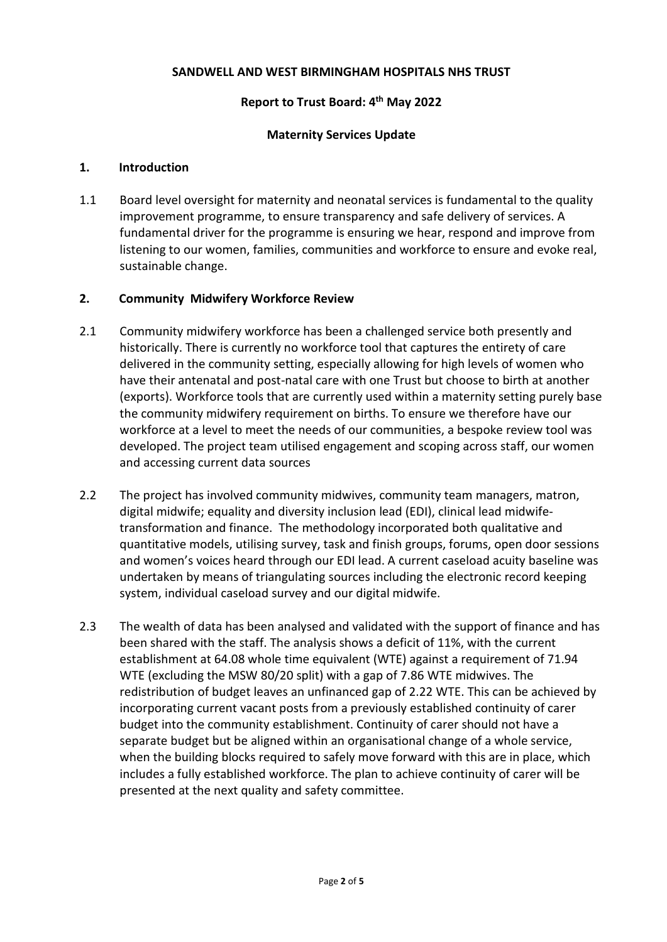#### **SANDWELL AND WEST BIRMINGHAM HOSPITALS NHS TRUST**

#### **Report to Trust Board: 4th May 2022**

#### **Maternity Services Update**

#### **1. Introduction**

1.1 Board level oversight for maternity and neonatal services is fundamental to the quality improvement programme, to ensure transparency and safe delivery of services. A fundamental driver for the programme is ensuring we hear, respond and improve from listening to our women, families, communities and workforce to ensure and evoke real, sustainable change.

#### **2. Community Midwifery Workforce Review**

- 2.1 Community midwifery workforce has been a challenged service both presently and historically. There is currently no workforce tool that captures the entirety of care delivered in the community setting, especially allowing for high levels of women who have their antenatal and post-natal care with one Trust but choose to birth at another (exports). Workforce tools that are currently used within a maternity setting purely base the community midwifery requirement on births. To ensure we therefore have our workforce at a level to meet the needs of our communities, a bespoke review tool was developed. The project team utilised engagement and scoping across staff, our women and accessing current data sources
- 2.2 The project has involved community midwives, community team managers, matron, digital midwife; equality and diversity inclusion lead (EDI), clinical lead midwifetransformation and finance. The methodology incorporated both qualitative and quantitative models, utilising survey, task and finish groups, forums, open door sessions and women's voices heard through our EDI lead. A current caseload acuity baseline was undertaken by means of triangulating sources including the electronic record keeping system, individual caseload survey and our digital midwife.
- 2.3 The wealth of data has been analysed and validated with the support of finance and has been shared with the staff. The analysis shows a deficit of 11%, with the current establishment at 64.08 whole time equivalent (WTE) against a requirement of 71.94 WTE (excluding the MSW 80/20 split) with a gap of 7.86 WTE midwives. The redistribution of budget leaves an unfinanced gap of 2.22 WTE. This can be achieved by incorporating current vacant posts from a previously established continuity of carer budget into the community establishment. Continuity of carer should not have a separate budget but be aligned within an organisational change of a whole service, when the building blocks required to safely move forward with this are in place, which includes a fully established workforce. The plan to achieve continuity of carer will be presented at the next quality and safety committee.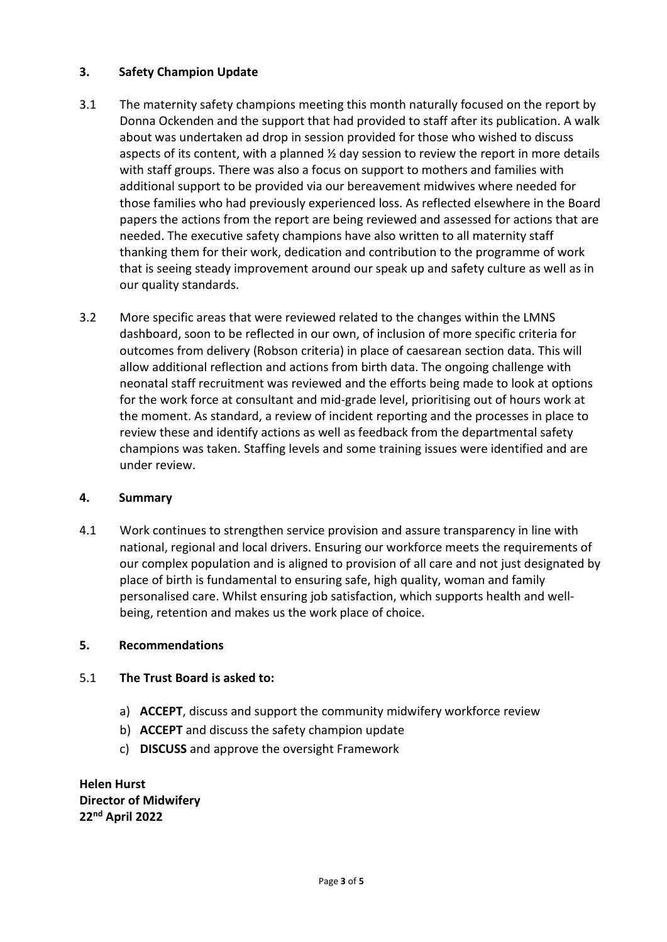# **3. Safety Champion Update**

- 3.1 The maternity safety champions meeting this month naturally focused on the report by Donna Ockenden and the support that had provided to staff after its publication. A walk about was undertaken ad drop in session provided for those who wished to discuss aspects of its content, with a planned  $\frac{1}{2}$  day session to review the report in more details with staff groups. There was also a focus on support to mothers and families with additional support to be provided via our bereavement midwives where needed for those families who had previously experienced loss. As reflected elsewhere in the Board papers the actions from the report are being reviewed and assessed for actions that are needed. The executive safety champions have also written to all maternity staff thanking them for their work, dedication and contribution to the programme of work that is seeing steady improvement around our speak up and safety culture as well as in our quality standards.
- 3.2 More specific areas that were reviewed related to the changes within the LMNS dashboard, soon to be reflected in our own, of inclusion of more specific criteria for outcomes from delivery (Robson criteria) in place of caesarean section data. This will allow additional reflection and actions from birth data. The ongoing challenge with neonatal staff recruitment was reviewed and the efforts being made to look at options for the work force at consultant and mid-grade level, prioritising out of hours work at the moment. As standard, a review of incident reporting and the processes in place to review these and identify actions as well as feedback from the departmental safety champions was taken. Staffing levels and some training issues were identified and are under review.

## **4. Summary**

4.1 Work continues to strengthen service provision and assure transparency in line with national, regional and local drivers. Ensuring our workforce meets the requirements of our complex population and is aligned to provision of all care and not just designated by place of birth is fundamental to ensuring safe, high quality, woman and family personalised care. Whilst ensuring job satisfaction, which supports health and wellbeing, retention and makes us the work place of choice.

# **5. Recommendations**

## 5.1 **The Trust Board is asked to:**

- a) **ACCEPT**, discuss and support the community midwifery workforce review
- b) **ACCEPT** and discuss the safety champion update
- c) **DISCUSS** and approve the oversight Framework

**Helen Hurst Director of Midwifery 22nd April 2022**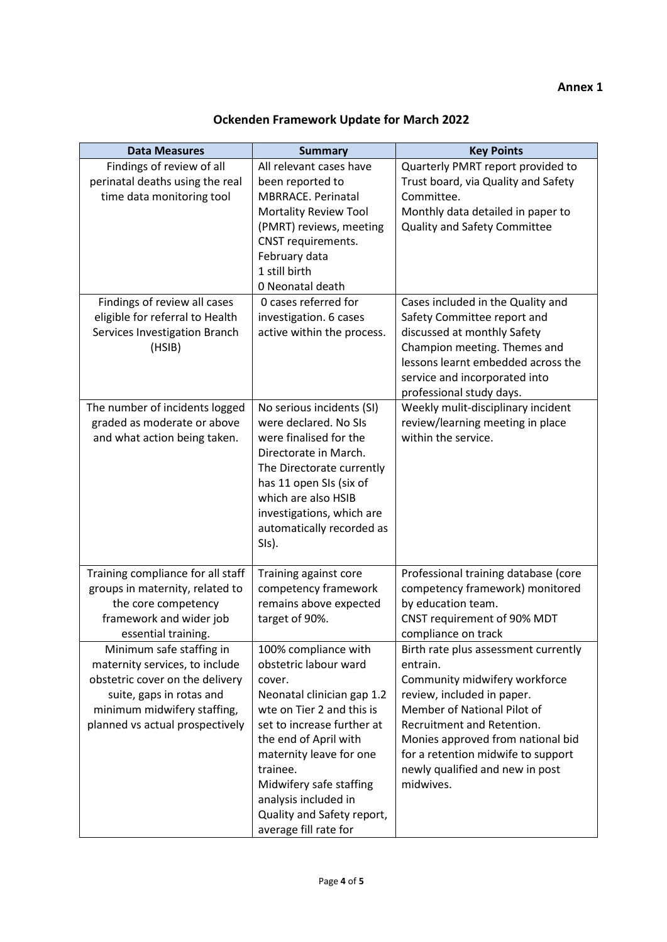| <b>Data Measures</b><br>Findings of review of all<br>perinatal deaths using the real<br>time data monitoring tool<br>Findings of review all cases<br>eligible for referral to Health<br>Services Investigation Branch<br>(HSIB) | <b>Summary</b><br>All relevant cases have<br>been reported to<br>MBRRACE. Perinatal<br>Mortality Review Tool<br>(PMRT) reviews, meeting<br>CNST requirements.<br>February data<br>1 still birth<br>0 Neonatal death<br>0 cases referred for<br>investigation. 6 cases<br>active within the process.                        | <b>Key Points</b><br>Quarterly PMRT report provided to<br>Trust board, via Quality and Safety<br>Committee.<br>Monthly data detailed in paper to<br>Quality and Safety Committee<br>Cases included in the Quality and<br>Safety Committee report and<br>discussed at monthly Safety<br>Champion meeting. Themes and<br>lessons learnt embedded across the<br>service and incorporated into<br>professional study days. |
|---------------------------------------------------------------------------------------------------------------------------------------------------------------------------------------------------------------------------------|----------------------------------------------------------------------------------------------------------------------------------------------------------------------------------------------------------------------------------------------------------------------------------------------------------------------------|------------------------------------------------------------------------------------------------------------------------------------------------------------------------------------------------------------------------------------------------------------------------------------------------------------------------------------------------------------------------------------------------------------------------|
| The number of incidents logged<br>graded as moderate or above<br>and what action being taken.                                                                                                                                   | No serious incidents (SI)<br>were declared. No SIs<br>were finalised for the<br>Directorate in March.<br>The Directorate currently<br>has 11 open SIs (six of<br>which are also HSIB<br>investigations, which are<br>automatically recorded as<br>SIs).                                                                    | Weekly mulit-disciplinary incident<br>review/learning meeting in place<br>within the service.                                                                                                                                                                                                                                                                                                                          |
| Training compliance for all staff<br>groups in maternity, related to<br>the core competency<br>framework and wider job<br>essential training.                                                                                   | Training against core<br>competency framework<br>remains above expected<br>target of 90%.                                                                                                                                                                                                                                  | Professional training database (core<br>competency framework) monitored<br>by education team.<br>CNST requirement of 90% MDT<br>compliance on track                                                                                                                                                                                                                                                                    |
| Minimum safe staffing in<br>maternity services, to include<br>obstetric cover on the delivery<br>suite, gaps in rotas and<br>minimum midwifery staffing,<br>planned vs actual prospectively                                     | 100% compliance with<br>obstetric labour ward<br>cover.<br>Neonatal clinician gap 1.2<br>wte on Tier 2 and this is<br>set to increase further at<br>the end of April with<br>maternity leave for one<br>trainee.<br>Midwifery safe staffing<br>analysis included in<br>Quality and Safety report,<br>average fill rate for | Birth rate plus assessment currently<br>entrain.<br>Community midwifery workforce<br>review, included in paper.<br>Member of National Pilot of<br>Recruitment and Retention.<br>Monies approved from national bid<br>for a retention midwife to support<br>newly qualified and new in post<br>midwives.                                                                                                                |

# **Ockenden Framework Update for March 2022**